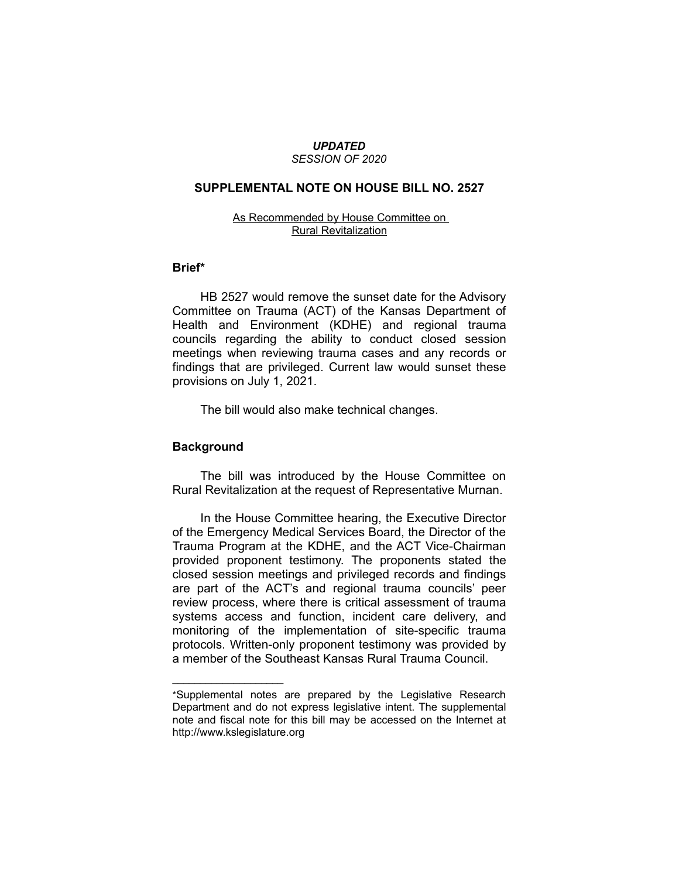#### *UPDATED SESSION OF 2020*

### **SUPPLEMENTAL NOTE ON HOUSE BILL NO. 2527**

### As Recommended by House Committee on Rural Revitalization

## **Brief\***

HB 2527 would remove the sunset date for the Advisory Committee on Trauma (ACT) of the Kansas Department of Health and Environment (KDHE) and regional trauma councils regarding the ability to conduct closed session meetings when reviewing trauma cases and any records or findings that are privileged. Current law would sunset these provisions on July 1, 2021.

The bill would also make technical changes.

# **Background**

 $\overline{\phantom{a}}$  , where  $\overline{\phantom{a}}$ 

The bill was introduced by the House Committee on Rural Revitalization at the request of Representative Murnan.

In the House Committee hearing, the Executive Director of the Emergency Medical Services Board, the Director of the Trauma Program at the KDHE, and the ACT Vice-Chairman provided proponent testimony. The proponents stated the closed session meetings and privileged records and findings are part of the ACT's and regional trauma councils' peer review process, where there is critical assessment of trauma systems access and function, incident care delivery, and monitoring of the implementation of site-specific trauma protocols. Written-only proponent testimony was provided by a member of the Southeast Kansas Rural Trauma Council.

<sup>\*</sup>Supplemental notes are prepared by the Legislative Research Department and do not express legislative intent. The supplemental note and fiscal note for this bill may be accessed on the Internet at http://www.kslegislature.org